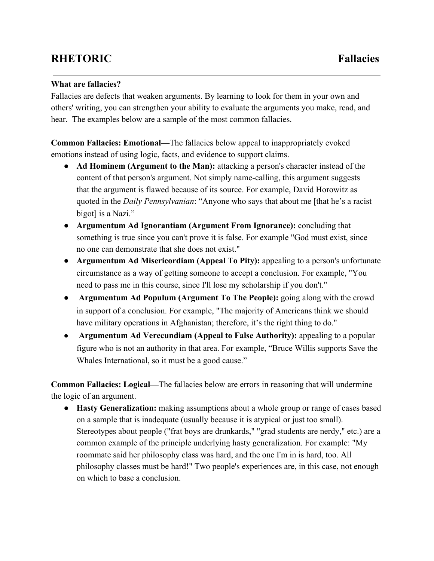## **RHETORIC Fallacies**

## **What are fallacies?**

Fallacies are defects that weaken arguments. By learning to look for them in your own and others' writing, you can strengthen your ability to evaluate the arguments you make, read, and hear. The examples below are a sample of the most common fallacies.

**Common Fallacies: Emotional—**The fallacies below appeal to inappropriately evoked emotions instead of using logic, facts, and evidence to support claims.

- **Ad Hominem (Argument to the Man):**attacking a person's character instead of the content of that person's argument. Not simply name-calling, this argument suggests that the argument is flawed because of its source. For example, David Horowitz as quoted in the *Daily Pennsylvanian*: "Anyone who says that about me [that he's a racist bigot] is a Nazi."
- **Argumentum Ad Ignorantiam (Argument From Ignorance):**concluding that something is true since you can't prove it is false. For example "God must exist, since no one can demonstrate that she does not exist."
- **Argumentum Ad Misericordiam (Appeal To Pity):**appealing to a person's unfortunate circumstance as a way of getting someone to accept a conclusion. For example, "You need to pass me in this course, since I'll lose my scholarship if you don't."
- **Argumentum Ad Populum (Argument To The People):**going along with the crowd in support of a conclusion. For example, "The majority of Americans think we should have military operations in Afghanistan; therefore, it's the right thing to do."
- **Argumentum Ad Verecundiam (Appeal to False Authority):** appealing to a popular figure who is not an authority in that area. For example, "Bruce Willis supports Save the Whales International, so it must be a good cause."

**Common Fallacies: Logical—**The fallacies below are errors in reasoning that will undermine the logic of an argument.

● **Hasty Generalization:** making assumptions about a whole group or range of cases based on a sample that is inadequate (usually because it is atypical or just too small). Stereotypes about people ("frat boys are drunkards," "grad students are nerdy," etc.) are a common example of the principle underlying hasty generalization. For example: "My roommate said her philosophy class was hard, and the one I'm in is hard, too. All philosophy classes must be hard!" Two people's experiences are, in this case, not enough on which to base a conclusion.